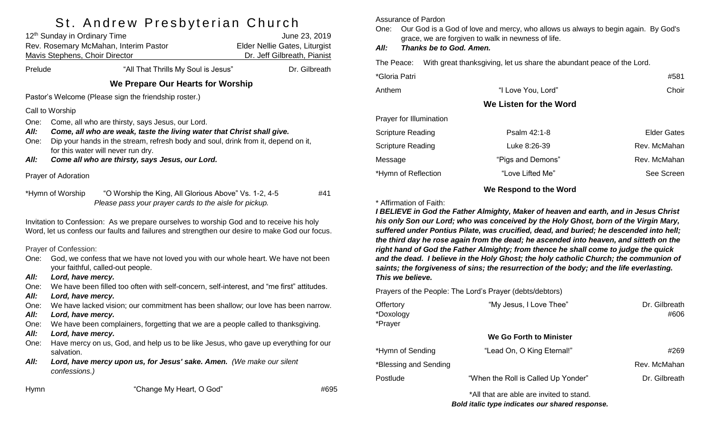# St. Andrew Presbyterian Church

|                                                | 12 <sup>th</sup> Sunday in Ordinary Time<br>Rev. Rosemary McMahan, Interim Pastor<br>Mavis Stephens, Choir Director                                                                                                                                   | June 23, 2019<br>Elder Nellie Gates, Liturgist<br>Dr. Jeff Gilbreath, Pianist |  |  |  |
|------------------------------------------------|-------------------------------------------------------------------------------------------------------------------------------------------------------------------------------------------------------------------------------------------------------|-------------------------------------------------------------------------------|--|--|--|
| "All That Thrills My Soul is Jesus"<br>Prelude |                                                                                                                                                                                                                                                       | Dr. Gilbreath                                                                 |  |  |  |
|                                                | We Prepare Our Hearts for Worship                                                                                                                                                                                                                     |                                                                               |  |  |  |
|                                                | Pastor's Welcome (Please sign the friendship roster.)                                                                                                                                                                                                 |                                                                               |  |  |  |
|                                                | Call to Worship                                                                                                                                                                                                                                       |                                                                               |  |  |  |
| One:<br>All:<br>One:                           | Come, all who are thirsty, says Jesus, our Lord.<br>Come, all who are weak, taste the living water that Christ shall give.<br>Dip your hands in the stream, refresh body and soul, drink from it, depend on it,<br>for this water will never run dry. |                                                                               |  |  |  |
| All:                                           | Come all who are thirsty, says Jesus, our Lord.                                                                                                                                                                                                       |                                                                               |  |  |  |
|                                                | Prayer of Adoration                                                                                                                                                                                                                                   |                                                                               |  |  |  |
|                                                | "O Worship the King, All Glorious Above" Vs. 1-2, 4-5<br>*Hymn of Worship<br>Please pass your prayer cards to the aisle for pickup.                                                                                                                   | #41                                                                           |  |  |  |
|                                                | Invitation to Confession: As we prepare ourselves to worship God and to receive his holy<br>Word, let us confess our faults and failures and strengthen our desire to make God our focus.                                                             |                                                                               |  |  |  |
| One:                                           | Prayer of Confession:<br>God, we confess that we have not loved you with our whole heart. We have not been<br>your faithful, called-out people.                                                                                                       |                                                                               |  |  |  |
| All:                                           | Lord, have mercy.                                                                                                                                                                                                                                     |                                                                               |  |  |  |
| One:                                           | We have been filled too often with self-concern, self-interest, and "me first" attitudes.                                                                                                                                                             |                                                                               |  |  |  |
| All:<br>One:                                   | Lord, have mercy.<br>We have lacked vision; our commitment has been shallow; our love has been narrow.                                                                                                                                                |                                                                               |  |  |  |
| All:                                           | Lord, have mercy.                                                                                                                                                                                                                                     |                                                                               |  |  |  |
| One:                                           | We have been complainers, forgetting that we are a people called to thanksgiving.                                                                                                                                                                     |                                                                               |  |  |  |
| All:                                           | Lord, have mercy.                                                                                                                                                                                                                                     |                                                                               |  |  |  |
| One:                                           | Have mercy on us, God, and help us to be like Jesus, who gave up everything for our<br>salvation.                                                                                                                                                     |                                                                               |  |  |  |
| All:                                           | Lord, have mercy upon us, for Jesus' sake. Amen. (We make our silent<br>confessions.)                                                                                                                                                                 |                                                                               |  |  |  |
| <b>Hymn</b>                                    | "Change My Heart, O God"                                                                                                                                                                                                                              | #695                                                                          |  |  |  |

### Assurance of Pardon

One: Our God is a God of love and mercy, who allows us always to begin again. By God's grace, we are forgiven to walk in newness of life.

### *All: Thanks be to God. Amen.*

The Peace: With great thanksgiving, let us share the abundant peace of the Lord.

| *Gloria Patri            |                        | #581         |
|--------------------------|------------------------|--------------|
| Anthem                   | "I Love You, Lord"     | Choir        |
|                          | We Listen for the Word |              |
| Prayer for Illumination  |                        |              |
| <b>Scripture Reading</b> | Psalm 42:1-8           | Elder Gates  |
| <b>Scripture Reading</b> | Luke 8:26-39           | Rev. McMahan |
| Message                  | "Pigs and Demons"      | Rev. McMahan |
| *Hymn of Reflection      | "Love Lifted Me"       | See Screen   |

### **We Respond to the Word**

#### \* Affirmation of Faith:

*I BELIEVE in God the Father Almighty, Maker of heaven and earth, and in Jesus Christ his only Son our Lord; who was conceived by the Holy Ghost, born of the Virgin Mary, suffered under Pontius Pilate, was crucified, dead, and buried; he descended into hell; the third day he rose again from the dead; he ascended into heaven, and sitteth on the right hand of God the Father Almighty; from thence he shall come to judge the quick and the dead. I believe in the Holy Ghost; the holy catholic Church; the communion of saints; the forgiveness of sins; the resurrection of the body; and the life everlasting. This we believe.*

Prayers of the People: The Lord's Prayer (debts/debtors)

| Offertory<br>*Doxology<br>*Prayer | "My Jesus, I Love Thee"             | Dr. Gilbreath<br>#606 |
|-----------------------------------|-------------------------------------|-----------------------|
|                                   | We Go Forth to Minister             |                       |
| *Hymn of Sending                  | "Lead On, O King Eternal!"          | #269                  |
| *Blessing and Sending             |                                     | Rev. McMahan          |
| Postlude                          | "When the Roll is Called Up Yonder" | Dr. Gilbreath         |
|                                   |                                     |                       |

\*All that are able are invited to stand. *Bold italic type indicates our shared response.*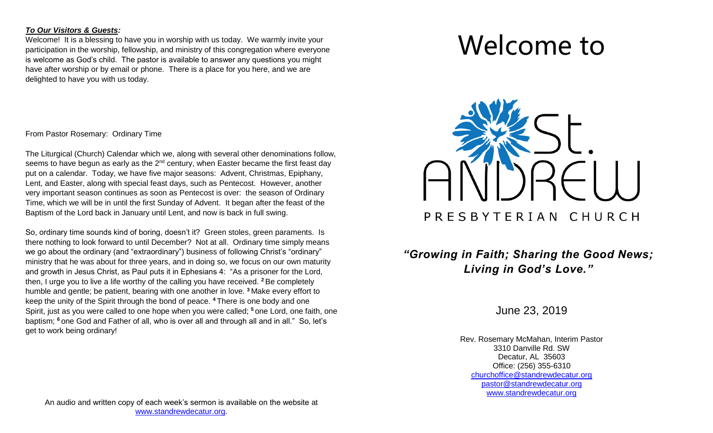### *To Our Visitors & Guests:*

Welcome! It is a blessing to have you in worship with us today. We warmly invite your participation in the worship, fellowship, and ministry of this congregation where everyone is welcome as God's child. The pastor is available to answer any questions you might have after worship or by email or phone. There is a place for you here, and we are delighted to have you with us today.

From Pastor Rosemary: Ordinary Time

The Liturgical (Church) Calendar which we, along with several other denominations follow, seems to have begun as early as the  $2<sup>nd</sup>$  century, when Easter became the first feast day put on a calendar. Today, we have five major seasons: Advent, Christmas, Epiphany, Lent, and Easter, along with special feast days, such as Pentecost. However, another very important season continues as soon as Pentecost is over: the season of Ordinary Time, which we will be in until the first Sunday of Advent. It began after the feast of the Baptism of the Lord back in January until Lent, and now is back in full swing.

So, ordinary time sounds kind of boring, doesn't it? Green stoles, green paraments. Is there nothing to look forward to until December? Not at all. Ordinary time simply means we go about the ordinary (and "extraordinary") business of following Christ's "ordinary" ministry that he was about for three years, and in doing so, we focus on our own maturity and growth in Jesus Christ, as Paul puts it in Ephesians 4: "As a prisoner for the Lord, then, I urge you to live a life worthy of the calling you have received. **<sup>2</sup>** Be completely humble and gentle; be patient, bearing with one another in love. **<sup>3</sup>** Make every effort to keep the unity of the Spirit through the bond of peace. **<sup>4</sup>** There is one body and one Spirit, just as you were called to one hope when you were called; **<sup>5</sup>** one Lord, one faith, one baptism; <sup>6</sup> one God and Father of all, who is over all and through all and in all." So, let's get to work being ordinary!

# Welcome to



# *"Growing in Faith; Sharing the Good News; Living in God's Love."*

June 23, 2019

Rev. Rosemary McMahan, Interim Pastor 3310 Danville Rd. SW Decatur, AL 35603 Office: (256) 355-6310 [churchoffice@standrewdecatur.org](mailto:churchoffice@standrewdecatur.org) pastor@standrewdecatur.org [www.standrewdecatur.org](http://www.standrewdecatur.org/)

An audio and written copy of each week's sermon is available on the website at [www.standrewdecatur.org.](http://www.standrewdecatur.org/)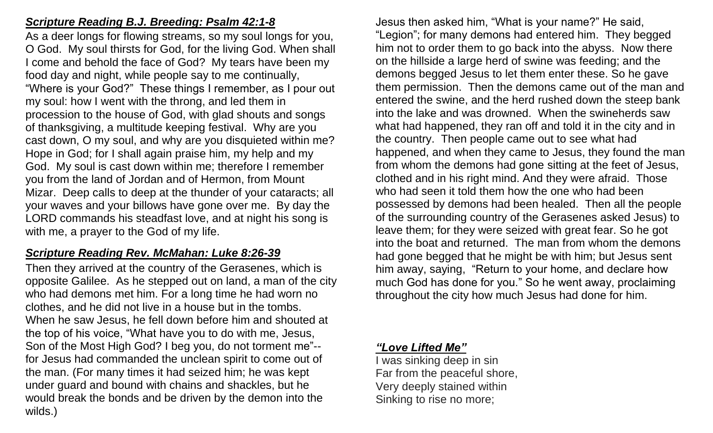## *Scripture Reading B.J. Breeding: Psalm 42:1-8*

As a deer longs for flowing streams, so my soul longs for you, O God. My soul thirsts for God, for the living God. When shall I come and behold the face of God? My tears have been my food day and night, while people say to me continually, "Where is your God?" These things I remember, as I pour out my soul: how I went with the throng, and led them in procession to the house of God, with glad shouts and songs of thanksgiving, a multitude keeping festival. Why are you cast down, O my soul, and why are you disquieted within me? Hope in God; for I shall again praise him, my help and my God. My soul is cast down within me; therefore I remember you from the land of Jordan and of Hermon, from Mount Mizar. Deep calls to deep at the thunder of your cataracts; all your waves and your billows have gone over me. By day the LORD commands his steadfast love, and at night his song is with me, a prayer to the God of my life.

## *Scripture Reading Rev. McMahan: Luke 8:26-39*

Then they arrived at the country of the Gerasenes, which is opposite Galilee. As he stepped out on land, a man of the city who had demons met him. For a long time he had worn no clothes, and he did not live in a house but in the tombs. When he saw Jesus, he fell down before him and shouted at the top of his voice, "What have you to do with me, Jesus, Son of the Most High God? I beg you, do not torment me"- for Jesus had commanded the unclean spirit to come out of the man. (For many times it had seized him; he was kept under guard and bound with chains and shackles, but he would break the bonds and be driven by the demon into the wilds.)

Jesus then asked him, "What is your name?" He said, "Legion"; for many demons had entered him. They begged him not to order them to go back into the abyss. Now there on the hillside a large herd of swine was feeding; and the demons begged Jesus to let them enter these. So he gave them permission. Then the demons came out of the man and entered the swine, and the herd rushed down the steep bank into the lake and was drowned. When the swineherds saw what had happened, they ran off and told it in the city and in the country. Then people came out to see what had happened, and when they came to Jesus, they found the man from whom the demons had gone sitting at the feet of Jesus, clothed and in his right mind. And they were afraid. Those who had seen it told them how the one who had been possessed by demons had been healed. Then all the people of the surrounding country of the Gerasenes asked Jesus) to leave them; for they were seized with great fear. So he got into the boat and returned. The man from whom the demons had gone begged that he might be with him; but Jesus sent him away, saying, "Return to your home, and declare how much God has done for you." So he went away, proclaiming throughout the city how much Jesus had done for him.

### *"Love Lifted Me"*

I was sinking deep in sin Far from the peaceful shore, Very deeply stained within Sinking to rise no more;